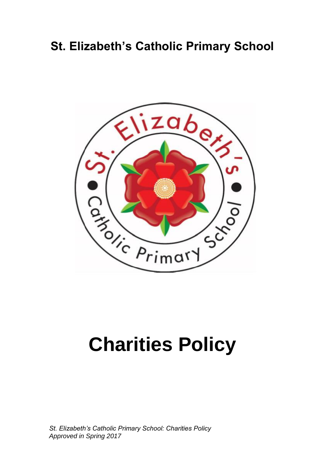# **St. Elizabeth's Catholic Primary School**



# **Charities Policy**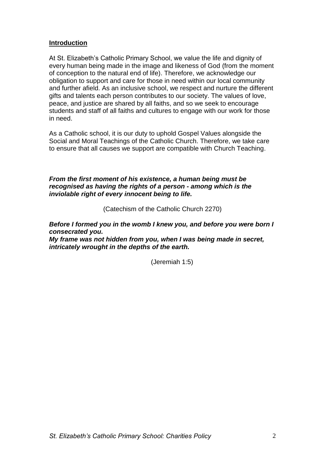### **Introduction**

At St. Elizabeth's Catholic Primary School, we value the life and dignity of every human being made in the image and likeness of God (from the moment of conception to the natural end of life). Therefore, we acknowledge our obligation to support and care for those in need within our local community and further afield. As an inclusive school, we respect and nurture the different gifts and talents each person contributes to our society. The values of love, peace, and justice are shared by all faiths, and so we seek to encourage students and staff of all faiths and cultures to engage with our work for those in need.

As a Catholic school, it is our duty to uphold Gospel Values alongside the Social and Moral Teachings of the Catholic Church. Therefore, we take care to ensure that all causes we support are compatible with Church Teaching.

#### *From the first moment of his existence, a human being must be recognised as having the rights of a person - among which is the inviolable right of every innocent being to life.*

(Catechism of the Catholic Church 2270)

*Before I formed you in the womb I knew you, and before you were born I consecrated you.*

*My frame was not hidden from you, when I was being made in secret, intricately wrought in the depths of the earth.*

(Jeremiah 1:5)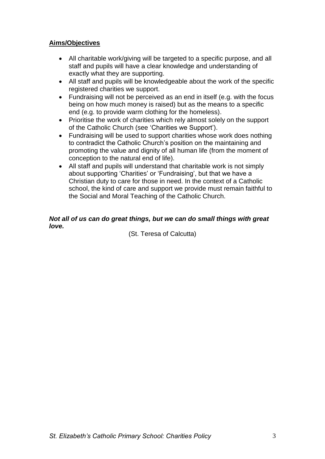# **Aims/Objectives**

- All charitable work/giving will be targeted to a specific purpose, and all staff and pupils will have a clear knowledge and understanding of exactly what they are supporting.
- All staff and pupils will be knowledgeable about the work of the specific registered charities we support.
- Fundraising will not be perceived as an end in itself (e.g. with the focus being on how much money is raised) but as the means to a specific end (e.g. to provide warm clothing for the homeless).
- Prioritise the work of charities which rely almost solely on the support of the Catholic Church (see 'Charities we Support').
- Fundraising will be used to support charities whose work does nothing to contradict the Catholic Church's position on the maintaining and promoting the value and dignity of all human life (from the moment of conception to the natural end of life).
- All staff and pupils will understand that charitable work is not simply about supporting 'Charities' or 'Fundraising', but that we have a Christian duty to care for those in need. In the context of a Catholic school, the kind of care and support we provide must remain faithful to the Social and Moral Teaching of the Catholic Church.

# *Not all of us can do great things, but we can do small things with great love.*

(St. Teresa of Calcutta)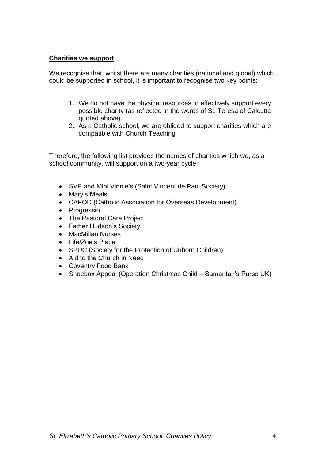### **Charities we support**

We recognise that, whilst there are many charities (national and global) which could be supported in school, it is important to recognise two key points:

- 1. We do not have the physical resources to effectively support every possible charity (as reflected in the words of St. Teresa of Calcutta, quoted above).
- 2. As a Catholic school, we are obliged to support charities which are compatible with Church Teaching

Therefore, the following list provides the names of charities which we, as a school community, will support on a two-year cycle:

- SVP and Mini Vinnie's (Saint Vincent de Paul Society)
- Mary's Meals
- CAFOD (Catholic Association for Overseas Development)
- Progressio
- The Pastoral Care Project
- Father Hudson's Society
- MacMillan Nurses
- Life/Zoe's Place
- SPUC (Society for the Protection of Unborn Children)
- Aid to the Church in Need
- Coventry Food Bank
- Shoebox Appeal (Operation Christmas Child Samaritan's Purse UK)